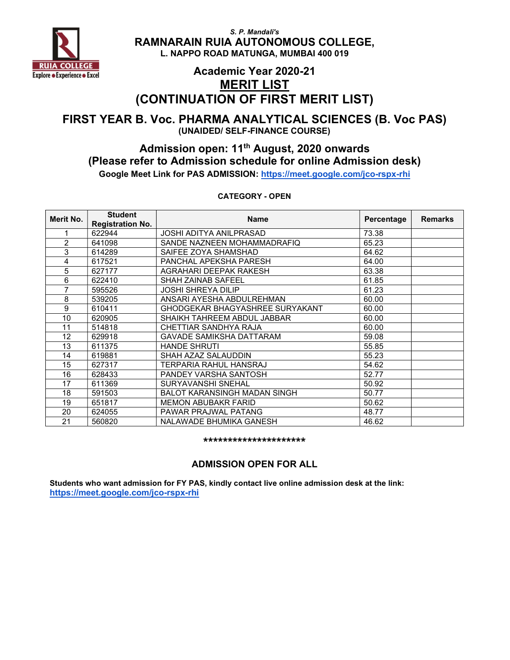

## Academic Year 2020-21 MERIT LIST (CONTINUATION OF FIRST MERIT LIST)

### FIRST YEAR B. Voc. PHARMA ANALYTICAL SCIENCES (B. Voc PAS) (UNAIDED/ SELF-FINANCE COURSE)

### Admission open: 11th August, 2020 onwards (Please refer to Admission schedule for online Admission desk) Google Meet Link for PAS ADMISSION: https://meet.google.com/jco-rspx-rhi

CATEGORY - OPEN

| Merit No. | <b>Student</b><br><b>Registration No.</b> | <b>Name</b>                         | Percentage | <b>Remarks</b> |
|-----------|-------------------------------------------|-------------------------------------|------------|----------------|
| 1         | 622944                                    | <b>JOSHI ADITYA ANILPRASAD</b>      | 73.38      |                |
| 2         | 641098                                    | SANDE NAZNEEN MOHAMMADRAFIQ         | 65.23      |                |
| 3         | 614289                                    | SAIFEE ZOYA SHAMSHAD                | 64.62      |                |
| 4         | 617521                                    | PANCHAL APEKSHA PARESH              | 64.00      |                |
| 5         | 627177                                    | AGRAHARI DEEPAK RAKESH              | 63.38      |                |
| 6         | 622410                                    | <b>SHAH ZAINAB SAFEEL</b>           | 61.85      |                |
|           | 595526                                    | <b>JOSHI SHREYA DILIP</b>           | 61.23      |                |
| 8         | 539205                                    | ANSARI AYESHA ABDULREHMAN           | 60.00      |                |
| 9         | 610411                                    | GHODGEKAR BHAGYASHREE SURYAKANT     | 60.00      |                |
| 10        | 620905                                    | SHAIKH TAHREEM ABDUL JABBAR         | 60.00      |                |
| 11        | 514818                                    | CHETTIAR SANDHYA RAJA               | 60.00      |                |
| 12        | 629918                                    | GAVADE SAMIKSHA DATTARAM            | 59.08      |                |
| 13        | 611375                                    | <b>HANDE SHRUTI</b>                 | 55.85      |                |
| 14        | 619881                                    | SHAH AZAZ SALAUDDIN                 | 55.23      |                |
| 15        | 627317                                    | TERPARIA RAHUL HANSRAJ              | 54.62      |                |
| 16        | 628433                                    | PANDEY VARSHA SANTOSH               | 52.77      |                |
| 17        | 611369                                    | SURYAVANSHI SNEHAL                  | 50.92      |                |
| 18        | 591503                                    | <b>BALOT KARANSINGH MADAN SINGH</b> | 50.77      |                |
| 19        | 651817                                    | <b>MEMON ABUBAKR FARID</b>          | 50.62      |                |
| 20        | 624055                                    | PAWAR PRAJWAL PATANG                | 48.77      |                |
| 21        | 560820                                    | NALAWADE BHUMIKA GANESH             | 46.62      |                |

\*\*\*\*\*\*\*\*\*\*\*\*\*\*\*\*\*\*\*\*\*

#### ADMISSION OPEN FOR ALL

Students who want admission for FY PAS, kindly contact live online admission desk at the link: https://meet.google.com/jco-rspx-rhi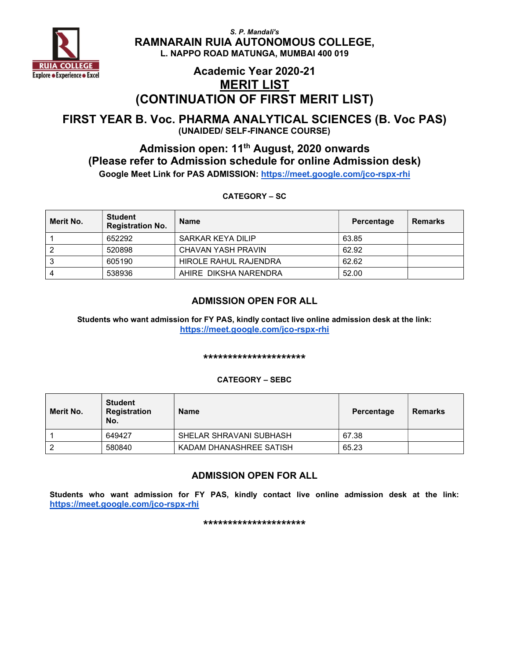

### Academic Year 2020-21 MERIT LIST (CONTINUATION OF FIRST MERIT LIST)

#### FIRST YEAR B. Voc. PHARMA ANALYTICAL SCIENCES (B. Voc PAS) (UNAIDED/ SELF-FINANCE COURSE)

### Admission open: 11<sup>th</sup> August, 2020 onwards (Please refer to Admission schedule for online Admission desk) Google Meet Link for PAS ADMISSION: https://meet.google.com/jco-rspx-rhi

CATEGORY – SC

| Merit No. | <b>Student</b><br><b>Registration No.</b> | <b>Name</b>                  | Percentage | <b>Remarks</b> |
|-----------|-------------------------------------------|------------------------------|------------|----------------|
|           | 652292                                    | SARKAR KEYA DILIP            | 63.85      |                |
|           | 520898                                    | CHAVAN YASH PRAVIN           | 62.92      |                |
|           | 605190                                    | <b>HIROLE RAHUL RAJENDRA</b> | 62.62      |                |
| 4         | 538936                                    | AHIRE DIKSHA NARENDRA        | 52.00      |                |

#### ADMISSION OPEN FOR ALL

Students who want admission for FY PAS, kindly contact live online admission desk at the link: https://meet.google.com/jco-rspx-rhi

#### \*\*\*\*\*\*\*\*\*\*\*\*\*\*\*\*\*\*\*\*\*

#### CATEGORY – SEBC

| Merit No. | <b>Student</b><br>Registration<br>No. | <b>Name</b>             | Percentage | Remarks |
|-----------|---------------------------------------|-------------------------|------------|---------|
|           | 649427                                | SHELAR SHRAVANI SUBHASH | 67.38      |         |
| 2         | 580840                                | KADAM DHANASHREE SATISH | 65.23      |         |

#### ADMISSION OPEN FOR ALL

Students who want admission for FY PAS, kindly contact live online admission desk at the link: https://meet.google.com/jco-rspx-rhi

\*\*\*\*\*\*\*\*\*\*\*\*\*\*\*\*\*\*\*\*\*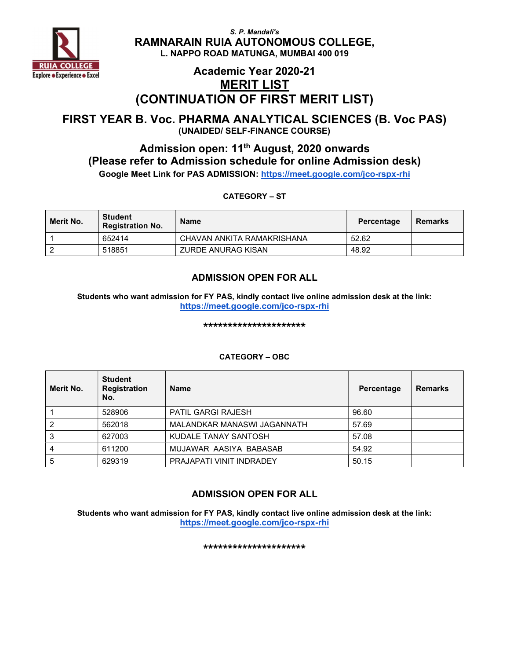

### Academic Year 2020-21 MERIT LIST (CONTINUATION OF FIRST MERIT LIST)

#### FIRST YEAR B. Voc. PHARMA ANALYTICAL SCIENCES (B. Voc PAS) (UNAIDED/ SELF-FINANCE COURSE)

### Admission open: 11<sup>th</sup> August, 2020 onwards (Please refer to Admission schedule for online Admission desk) Google Meet Link for PAS ADMISSION: https://meet.google.com/jco-rspx-rhi

CATEGORY – ST

| Merit No. | <b>Student</b><br><b>Registration No.</b> | Name                       | Percentage | <b>Remarks</b> |
|-----------|-------------------------------------------|----------------------------|------------|----------------|
|           | 652414                                    | CHAVAN ANKITA RAMAKRISHANA | 52.62      |                |
|           | 518851                                    | <b>ZURDE ANURAG KISAN</b>  | 48.92      |                |

#### ADMISSION OPEN FOR ALL

Students who want admission for FY PAS, kindly contact live online admission desk at the link: https://meet.google.com/jco-rspx-rhi

\*\*\*\*\*\*\*\*\*\*\*\*\*\*\*\*\*\*\*\*\*

#### Merit No. **Student** Registration No. Name **Percentage Remarks** 1 528906 PATIL GARGI RAJESH 96.60 2 562018 MALANDKAR MANASWI JAGANNATH 57.69 3 627003 KUDALE TANAY SANTOSH 57.08 4 611200 MUJAWAR AASIYA BABASAB 54.92 5 629319 PRAJAPATI VINIT INDRADEY 50.15

#### CATEGORY – OBC

### ADMISSION OPEN FOR ALL

Students who want admission for FY PAS, kindly contact live online admission desk at the link: https://meet.google.com/jco-rspx-rhi

\*\*\*\*\*\*\*\*\*\*\*\*\*\*\*\*\*\*\*\*\*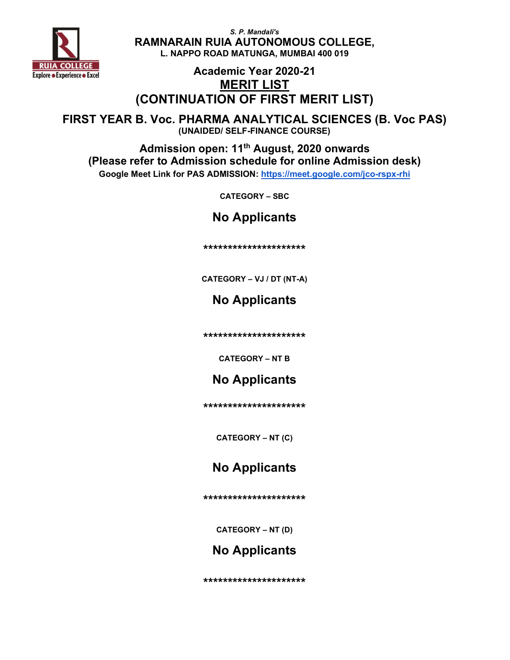

## Academic Year 2020-21 MERIT LIST (CONTINUATION OF FIRST MERIT LIST)

FIRST YEAR B. Voc. PHARMA ANALYTICAL SCIENCES (B. Voc PAS) (UNAIDED/ SELF-FINANCE COURSE)

Admission open: 11<sup>th</sup> August, 2020 onwards (Please refer to Admission schedule for online Admission desk) Google Meet Link for PAS ADMISSION: https://meet.google.com/jco-rspx-rhi

CATEGORY – SBC

No Applicants

\*\*\*\*\*\*\*\*\*\*\*\*\*\*\*\*\*\*\*\*\*

CATEGORY – VJ / DT (NT-A)

No Applicants

\*\*\*\*\*\*\*\*\*\*\*\*\*\*\*\*\*\*\*\*\*

CATEGORY – NT B

## No Applicants

\*\*\*\*\*\*\*\*\*\*\*\*\*\*\*\*\*\*\*\*\*

CATEGORY – NT (C)

## No Applicants

\*\*\*\*\*\*\*\*\*\*\*\*\*\*\*\*\*\*\*\*\*

CATEGORY – NT (D)

## No Applicants

\*\*\*\*\*\*\*\*\*\*\*\*\*\*\*\*\*\*\*\*\*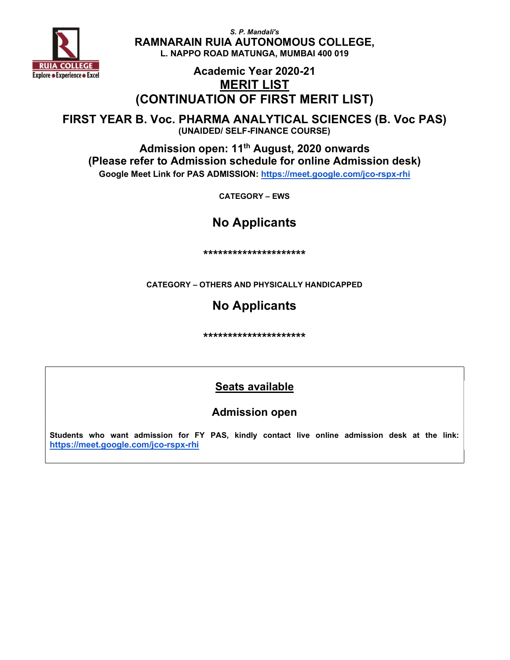

### Academic Year 2020-21 MERIT LIST (CONTINUATION OF FIRST MERIT LIST)

FIRST YEAR B. Voc. PHARMA ANALYTICAL SCIENCES (B. Voc PAS) (UNAIDED/ SELF-FINANCE COURSE)

Admission open: 11<sup>th</sup> August, 2020 onwards (Please refer to Admission schedule for online Admission desk) Google Meet Link for PAS ADMISSION: https://meet.google.com/jco-rspx-rhi

CATEGORY – EWS

# No Applicants

\*\*\*\*\*\*\*\*\*\*\*\*\*\*\*\*\*\*\*\*\*

CATEGORY – OTHERS AND PHYSICALLY HANDICAPPED

# No Applicants

\*\*\*\*\*\*\*\*\*\*\*\*\*\*\*\*\*\*\*\*\*

## Seats available

### Admission open

Students who want admission for FY PAS, kindly contact live online admission desk at the link: https://meet.google.com/jco-rspx-rhi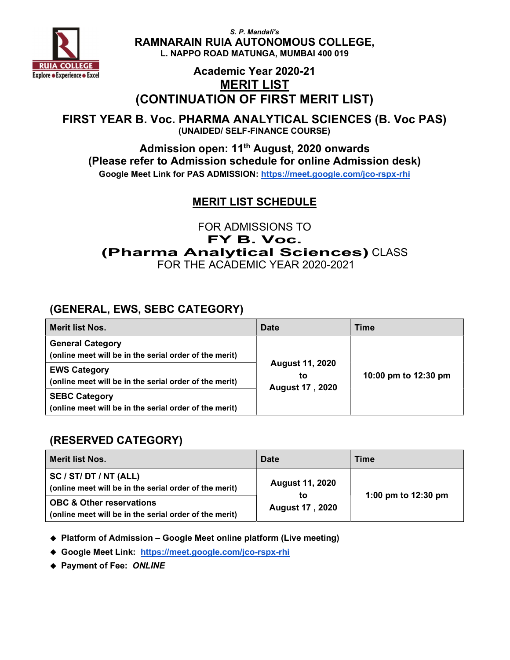

## Academic Year 2020-21 MERIT LIST (CONTINUATION OF FIRST MERIT LIST)

FIRST YEAR B. Voc. PHARMA ANALYTICAL SCIENCES (B. Voc PAS) (UNAIDED/ SELF-FINANCE COURSE)

Admission open: 11th August, 2020 onwards (Please refer to Admission schedule for online Admission desk) Google Meet Link for PAS ADMISSION: https://meet.google.com/jco-rspx-rhi

### MERIT LIST SCHEDULE

FOR ADMISSIONS TO

FY B. Voc.

(Pharma Analytical Sciences) CLASS

FOR THE ACADEMIC YEAR 2020-2021

### (GENERAL, EWS, SEBC CATEGORY)

| <b>Merit list Nos.</b>                                                            | Date                                                   | Time                 |
|-----------------------------------------------------------------------------------|--------------------------------------------------------|----------------------|
| <b>General Category</b><br>(online meet will be in the serial order of the merit) |                                                        |                      |
| <b>EWS Category</b><br>(online meet will be in the serial order of the merit)     | <b>August 11, 2020</b><br>tο<br><b>August 17, 2020</b> | 10:00 pm to 12:30 pm |
| <b>SEBC Category</b><br>(online meet will be in the serial order of the merit)    |                                                        |                      |

### (RESERVED CATEGORY)

| Merit list Nos.                                                                               | Date                                                   | <b>Time</b>           |
|-----------------------------------------------------------------------------------------------|--------------------------------------------------------|-----------------------|
| SC / ST/ DT / NT (ALL)<br>(online meet will be in the serial order of the merit)              | <b>August 11, 2020</b><br>to<br><b>August 17, 2020</b> | 1:00 pm to $12:30$ pm |
| <b>OBC &amp; Other reservations</b><br>(online meet will be in the serial order of the merit) |                                                        |                       |

◆ Platform of Admission – Google Meet online platform (Live meeting)

Google Meet Link: https://meet.google.com/jco-rspx-rhi

◆ Payment of Fee: ONLINE